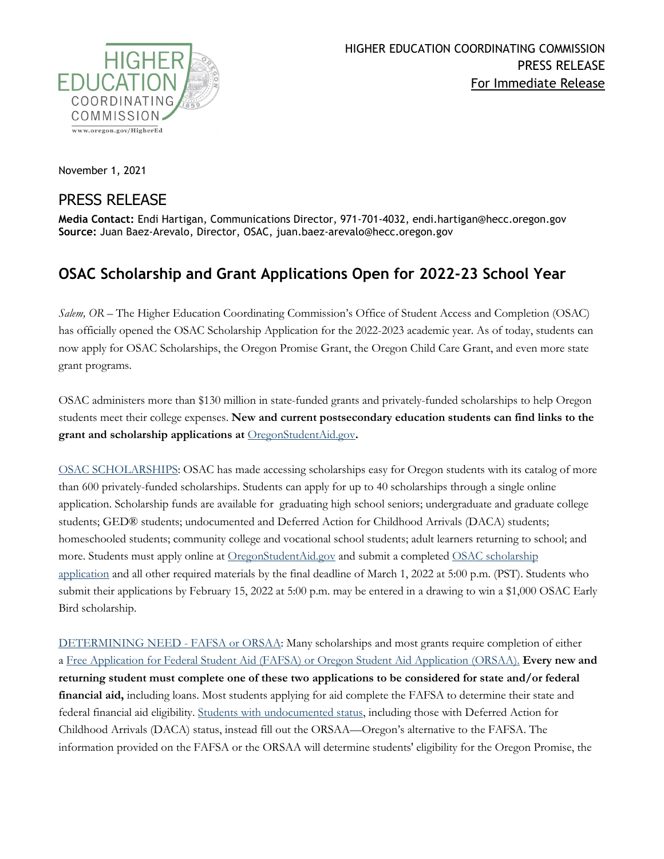

November 1, 2021

## PRESS RELEASE

**Media Contact:** Endi Hartigan, Communications Director, 971-701-4032, endi.hartigan@hecc.oregon.gov **Source:** Juan Baez-Arevalo, Director, OSAC, juan.baez-arevalo@hecc.oregon.gov

## **OSAC Scholarship and Grant Applications Open for 2022-23 School Year**

*Salem, OR –* The Higher Education Coordinating Commission's Office of Student Access and Completion (OSAC) has officially opened the OSAC Scholarship Application for the 2022-2023 academic year. As of today, students can now apply for OSAC Scholarships, the Oregon Promise Grant, the Oregon Child Care Grant, and even more state grant programs.

OSAC administers more than \$130 million in state-funded grants and privately-funded scholarships to help Oregon students meet their college expenses. **New and current postsecondary education students can find links to the grant and scholarship applications at** [OregonStudentAid.gov](http://oregonstudentaid.gov/)**.**

[OSAC SCHOLARSHIPS:](https://oregonstudentaid.gov/scholarships.aspx) OSAC has made accessing scholarships easy for Oregon students with its catalog of more than 600 privately-funded scholarships. Students can apply for up to 40 scholarships through a single online application. Scholarship funds are available for graduating high school seniors; undergraduate and graduate college students; GED® students; undocumented and Deferred Action for Childhood Arrivals (DACA) students; homeschooled students; community college and vocational school students; adult learners returning to school; and more. Students must apply online at [OregonStudentAid.gov](http://oregonstudentaid.gov/) and submit a completed [OSAC scholarship](http://www.oregonstudentaid.gov/scholarships.aspx)  [application](http://www.oregonstudentaid.gov/scholarships.aspx) and all other required materials by the final deadline of March 1, 2022 at 5:00 p.m. (PST). Students who submit their applications by February 15, 2022 at 5:00 p.m. may be entered in a drawing to win a \$1,000 OSAC Early Bird scholarship.

[DETERMINING NEED -](https://oregonstudentaid.gov/fafsa-orsaa.aspx) FAFSA or ORSAA: Many scholarships and most grants require completion of either a Free Application for Federal Student Aid [\(FAFSA\) or Oregon Student Aid Application](https://oregonstudentaid.gov/fafsa-orsaa.aspx) (ORSAA). **Every new and returning student must complete one of these two applications to be considered for state and/or federal financial aid,** including loans. Most students applying for aid complete the FAFSA to determine their state and federal financial aid eligibility. [Students with undocumented status,](https://oregonstudentaid.gov/finaid-undocumented.aspx) including those with Deferred Action for Childhood Arrivals (DACA) status, instead fill out the ORSAA—Oregon's alternative to the FAFSA. The information provided on the FAFSA or the ORSAA will determine students' eligibility for the Oregon Promise, the